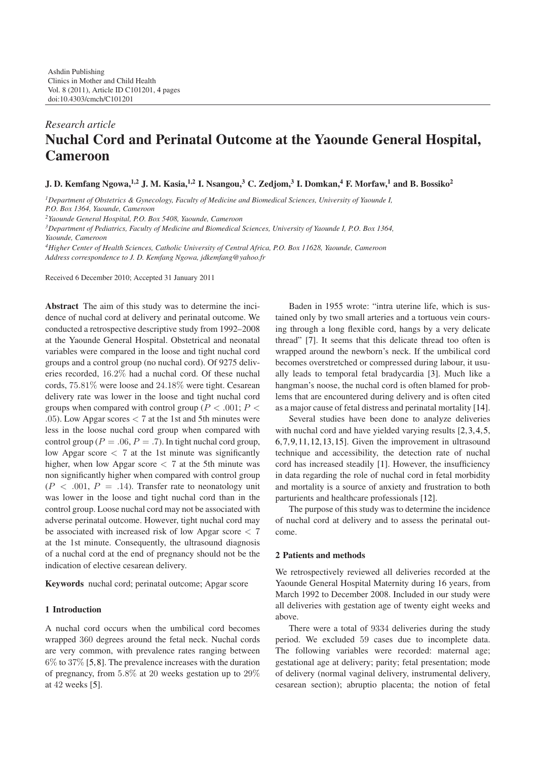# *Research article* **Nuchal Cord and Perinatal Outcome at the Yaounde General Hospital, Cameroon**

**J. D. Kemfang Ngowa,1,2 J. M. Kasia,1,2 I. Nsangou,3 C. Zedjom,<sup>3</sup> I. Domkan,4 F. Morfaw,<sup>1</sup> and B. Bossiko<sup>2</sup>**

*1Department of Obstetrics & Gynecology, Faculty of Medicine and Biomedical Sciences, University of Yaounde I,*

*P.O. Box 1364, Yaounde, Cameroon*

*2Yaounde General Hospital, P.O. Box 5408, Yaounde, Cameroon*

*3Department of Pediatrics, Faculty of Medicine and Biomedical Sciences, University of Yaounde I, P.O. Box 1364,*

*Yaounde, Cameroon*

*4Higher Center of Health Sciences, Catholic University of Central Africa, P.O. Box 11628, Yaounde, Cameroon Address correspondence to J. D. Kemfang Ngowa, jdkemfang@yahoo.fr*

Received 6 December 2010; Accepted 31 January 2011

**Abstract** The aim of this study was to determine the incidence of nuchal cord at delivery and perinatal outcome. We conducted a retrospective descriptive study from 1992–2008 at the Yaounde General Hospital. Obstetrical and neonatal variables were compared in the loose and tight nuchal cord groups and a control group (no nuchal cord). Of 9275 deliveries recorded, 16*.*2% had a nuchal cord. Of these nuchal cords, 75*.*81% were loose and 24*.*18% were tight. Cesarean delivery rate was lower in the loose and tight nuchal cord groups when compared with control group ( $P < .001$ ;  $P <$ *.*05). Low Apgar scores *<* 7 at the 1st and 5th minutes were less in the loose nuchal cord group when compared with control group ( $P = .06, P = .7$ ). In tight nuchal cord group, low Apgar score *<* 7 at the 1st minute was significantly higher, when low Apgar score *<* 7 at the 5th minute was non significantly higher when compared with control group  $(P < .001, P = .14)$ . Transfer rate to neonatology unit was lower in the loose and tight nuchal cord than in the control group. Loose nuchal cord may not be associated with adverse perinatal outcome. However, tight nuchal cord may be associated with increased risk of low Apgar score *<* 7 at the 1st minute. Consequently, the ultrasound diagnosis of a nuchal cord at the end of pregnancy should not be the indication of elective cesarean delivery.

**Keywords** nuchal cord; perinatal outcome; Apgar score

## **1 Introduction**

A nuchal cord occurs when the umbilical cord becomes wrapped 360 degrees around the fetal neck. Nuchal cords are very common, with prevalence rates ranging between  $6\%$  to  $37\%$  [\[5,](#page-3-0)[8\]](#page-3-1). The prevalence increases with the duration of pregnancy, from 5*.*8% at 20 weeks gestation up to 29% at 42 weeks [\[5\]](#page-3-0).

Baden in 1955 wrote: "intra uterine life, which is sustained only by two small arteries and a tortuous vein coursing through a long flexible cord, hangs by a very delicate thread" [\[7\]](#page-3-2). It seems that this delicate thread too often is wrapped around the newborn's neck. If the umbilical cord becomes overstretched or compressed during labour, it usually leads to temporal fetal bradycardia [\[3\]](#page-3-3). Much like a hangman's noose, the nuchal cord is often blamed for problems that are encountered during delivery and is often cited as a major cause of fetal distress and perinatal mortality [\[14\]](#page-3-4).

Several studies have been done to analyze deliveries with nuchal cord and have yielded varying results [\[2,](#page-3-5) [3,](#page-3-3) [4,](#page-3-6) [5,](#page-3-0) [6,](#page-3-7)[7,](#page-3-2)[9,](#page-3-8)[11,](#page-3-9)[12,](#page-3-10)[13,](#page-3-11)[15\]](#page-3-12). Given the improvement in ultrasound technique and accessibility, the detection rate of nuchal cord has increased steadily [\[1\]](#page-2-1). However, the insufficiency in data regarding the role of nuchal cord in fetal morbidity and mortality is a source of anxiety and frustration to both parturients and healthcare professionals [\[12\]](#page-3-10).

The purpose of this study was to determine the incidence of nuchal cord at delivery and to assess the perinatal outcome.

#### **2 Patients and methods**

We retrospectively reviewed all deliveries recorded at the Yaounde General Hospital Maternity during 16 years, from March 1992 to December 2008. Included in our study were all deliveries with gestation age of twenty eight weeks and above.

There were a total of 9334 deliveries during the study period. We excluded 59 cases due to incomplete data. The following variables were recorded: maternal age; gestational age at delivery; parity; fetal presentation; mode of delivery (normal vaginal delivery, instrumental delivery, cesarean section); abruptio placenta; the notion of fetal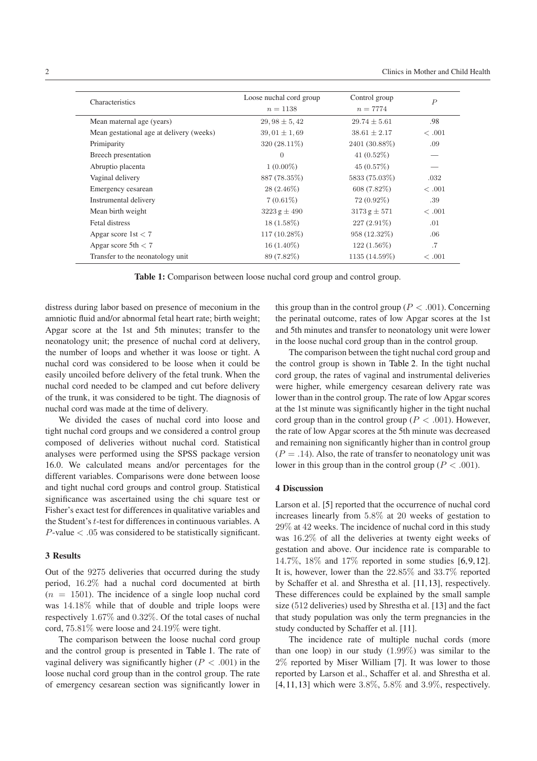| Characteristics                          | Loose nuchal cord group | Control group    | $\overline{P}$ |
|------------------------------------------|-------------------------|------------------|----------------|
|                                          | $n = 1138$              | $n = 7774$       |                |
| Mean maternal age (years)                | $29,98 \pm 5,42$        | $29.74 \pm 5.61$ | .98            |
| Mean gestational age at delivery (weeks) | $39,01 \pm 1,69$        | $38.61 \pm 2.17$ | <.001          |
| Primiparity                              | $320(28.11\%)$          | 2401 (30.88%)    | .09            |
| Breech presentation                      | $\theta$                | $41(0.52\%)$     |                |
| Abruptio placenta                        | $1(0.00\%)$             | $45(0.57\%)$     |                |
| Vaginal delivery                         | 887 (78.35%)            | 5833 (75.03%)    | .032           |
| Emergency cesarean                       | $28(2.46\%)$            | $608(7.82\%)$    | <.001          |
| Instrumental delivery                    | $7(0.61\%)$             | 72 (0.92\%)      | .39            |
| Mean birth weight                        | $3223 g \pm 490$        | $3173 g \pm 571$ | < .001         |
| Fetal distress                           | $18(1.58\%)$            | $227(2.91\%)$    | .01            |
| Apgar score $1st < 7$                    | $117(10.28\%)$          | 958 (12.32%)     | .06            |
| Apgar score $5th < 7$                    | $16(1.40\%)$            | $122(1.56\%)$    | .7             |
| Transfer to the neonatology unit         | 89 (7.82\%)             | 1135 (14.59%)    | < .001         |

<span id="page-1-0"></span>**Table 1:** Comparison between loose nuchal cord group and control group.

distress during labor based on presence of meconium in the amniotic fluid and/or abnormal fetal heart rate; birth weight; Apgar score at the 1st and 5th minutes; transfer to the neonatology unit; the presence of nuchal cord at delivery, the number of loops and whether it was loose or tight. A nuchal cord was considered to be loose when it could be easily uncoiled before delivery of the fetal trunk. When the nuchal cord needed to be clamped and cut before delivery of the trunk, it was considered to be tight. The diagnosis of nuchal cord was made at the time of delivery.

We divided the cases of nuchal cord into loose and tight nuchal cord groups and we considered a control group composed of deliveries without nuchal cord. Statistical analyses were performed using the SPSS package version 16.0. We calculated means and/or percentages for the different variables. Comparisons were done between loose and tight nuchal cord groups and control group. Statistical significance was ascertained using the chi square test or Fisher's exact test for differences in qualitative variables and the Student's *t*-test for differences in continuous variables. A *P*-value *< .*05 was considered to be statistically significant.

#### **3 Results**

Out of the 9275 deliveries that occurred during the study period, 16*.*2% had a nuchal cord documented at birth  $(n = 1501)$ . The incidence of a single loop nuchal cord was 14*.*18% while that of double and triple loops were respectively 1*.*67% and 0*.*32%. Of the total cases of nuchal cord, 75*.*81% were loose and 24*.*19% were tight.

The comparison between the loose nuchal cord group and the control group is presented in [Table 1.](#page-1-0) The rate of vaginal delivery was significantly higher  $(P < .001)$  in the loose nuchal cord group than in the control group. The rate of emergency cesarean section was significantly lower in this group than in the control group ( $P < .001$ ). Concerning the perinatal outcome, rates of low Apgar scores at the 1st and 5th minutes and transfer to neonatology unit were lower in the loose nuchal cord group than in the control group.

The comparison between the tight nuchal cord group and the control group is shown in [Table 2.](#page-2-2) In the tight nuchal cord group, the rates of vaginal and instrumental deliveries were higher, while emergency cesarean delivery rate was lower than in the control group. The rate of low Apgar scores at the 1st minute was significantly higher in the tight nuchal cord group than in the control group ( $P < .001$ ). However, the rate of low Apgar scores at the 5th minute was decreased and remaining non significantly higher than in control group  $(P = .14)$ . Also, the rate of transfer to neonatology unit was lower in this group than in the control group ( $P < .001$ ).

### **4 Discussion**

Larson et al. [\[5\]](#page-3-0) reported that the occurrence of nuchal cord increases linearly from 5*.*8% at 20 weeks of gestation to 29% at 42 weeks. The incidence of nuchal cord in this study was 16*.*2% of all the deliveries at twenty eight weeks of gestation and above. Our incidence rate is comparable to 14*.*7%, 18% and 17% reported in some studies [\[6,](#page-3-7)[9,](#page-3-8)[12\]](#page-3-10). It is, however, lower than the 22*.*85% and 33*.*7% reported by Schaffer et al. and Shrestha et al. [\[11,](#page-3-9)[13\]](#page-3-11), respectively. These differences could be explained by the small sample size (512 deliveries) used by Shrestha et al. [\[13\]](#page-3-11) and the fact that study population was only the term pregnancies in the study conducted by Schaffer et al. [\[11\]](#page-3-9).

The incidence rate of multiple nuchal cords (more than one loop) in our study (1*.*99%) was similar to the 2% reported by Miser William [\[7\]](#page-3-2). It was lower to those reported by Larson et al., Schaffer et al. and Shrestha et al. [\[4,](#page-3-6)[11,](#page-3-9)[13\]](#page-3-11) which were 3*.*8%, 5*.*8% and 3*.*9%, respectively.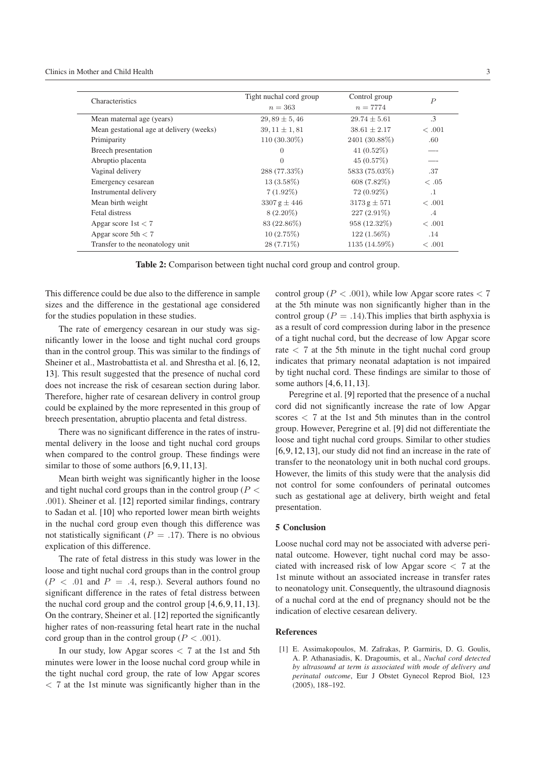| Characteristics                          | Tight nuchal cord group | Control group    | $\overline{P}$ |
|------------------------------------------|-------------------------|------------------|----------------|
|                                          | $n=363$                 | $n = 7774$       |                |
| Mean maternal age (years)                | $29,89 \pm 5,46$        | $29.74 \pm 5.61$ | $\cdot$ 3      |
| Mean gestational age at delivery (weeks) | $39.11 \pm 1.81$        | $38.61 \pm 2.17$ | <.001          |
| Primiparity                              | $110(30.30\%)$          | 2401 (30.88%)    | .60            |
| Breech presentation                      | $\Omega$                | $41(0.52\%)$     |                |
| Abruptio placenta                        | $\theta$                | $45(0.57\%)$     |                |
| Vaginal delivery                         | 288 (77.33%)            | 5833 (75.03%)    | .37            |
| Emergency cesarean                       | $13(3.58\%)$            | 608 (7.82\%)     | <.05           |
| Instrumental delivery                    | $7(1.92\%)$             | $72(0.92\%)$     | $\cdot$ 1      |
| Mean birth weight                        | 3307 g $\pm$ 446        | $3173 g \pm 571$ | <.001          |
| Fetal distress                           | $8(2.20\%)$             | $227(2.91\%)$    | $.4\,$         |
| Apgar score 1st $<$ 7                    | 83 (22.86%)             | 958 (12.32%)     | <.001          |
| Apgar score $5th < 7$                    | $10(2.75\%)$            | $122(1.56\%)$    | .14            |
| Transfer to the neonatology unit         | $28(7.71\%)$            | 1135 (14.59%)    | <.001          |

<span id="page-2-2"></span>**Table 2:** Comparison between tight nuchal cord group and control group.

This difference could be due also to the difference in sample sizes and the difference in the gestational age considered for the studies population in these studies.

The rate of emergency cesarean in our study was significantly lower in the loose and tight nuchal cord groups than in the control group. This was similar to the findings of Sheiner et al., Mastrobattista et al. and Shrestha et al. [\[6,](#page-3-7)[12,](#page-3-10) [13\]](#page-3-11). This result suggested that the presence of nuchal cord does not increase the risk of cesarean section during labor. Therefore, higher rate of cesarean delivery in control group could be explained by the more represented in this group of breech presentation, abruptio placenta and fetal distress.

There was no significant difference in the rates of instrumental delivery in the loose and tight nuchal cord groups when compared to the control group. These findings were similar to those of some authors [\[6,](#page-3-7) [9,](#page-3-8) [11,](#page-3-9) [13\]](#page-3-11).

Mean birth weight was significantly higher in the loose and tight nuchal cord groups than in the control group (*P < .*001). Sheiner et al. [\[12\]](#page-3-10) reported similar findings, contrary to Sadan et al. [\[10\]](#page-3-13) who reported lower mean birth weights in the nuchal cord group even though this difference was not statistically significant ( $P = .17$ ). There is no obvious explication of this difference.

The rate of fetal distress in this study was lower in the loose and tight nuchal cord groups than in the control group  $(P < .01$  and  $P = .4$ , resp.). Several authors found no significant difference in the rates of fetal distress between the nuchal cord group and the control group [\[4,](#page-3-6)[6,](#page-3-7)[9,](#page-3-8)[11,](#page-3-9)[13\]](#page-3-11). On the contrary, Sheiner et al. [\[12\]](#page-3-10) reported the significantly higher rates of non-reassuring fetal heart rate in the nuchal cord group than in the control group ( $P < .001$ ).

In our study, low Apgar scores *<* 7 at the 1st and 5th minutes were lower in the loose nuchal cord group while in the tight nuchal cord group, the rate of low Apgar scores *<* 7 at the 1st minute was significantly higher than in the control group ( $P < .001$ ), while low Apgar score rates  $< 7$ at the 5th minute was non significantly higher than in the control group ( $P = .14$ ). This implies that birth asphyxia is as a result of cord compression during labor in the presence of a tight nuchal cord, but the decrease of low Apgar score rate  $\langle$  7 at the 5th minute in the tight nuchal cord group indicates that primary neonatal adaptation is not impaired by tight nuchal cord. These findings are similar to those of some authors [\[4,](#page-3-6)[6,](#page-3-7)[11,](#page-3-9)[13\]](#page-3-11).

Peregrine et al. [\[9\]](#page-3-8) reported that the presence of a nuchal cord did not significantly increase the rate of low Apgar scores *<* 7 at the 1st and 5th minutes than in the control group. However, Peregrine et al. [\[9\]](#page-3-8) did not differentiate the loose and tight nuchal cord groups. Similar to other studies [\[6,](#page-3-7)[9,](#page-3-8)[12,](#page-3-10)[13\]](#page-3-11), our study did not find an increase in the rate of transfer to the neonatology unit in both nuchal cord groups. However, the limits of this study were that the analysis did not control for some confounders of perinatal outcomes such as gestational age at delivery, birth weight and fetal presentation.

#### **5 Conclusion**

Loose nuchal cord may not be associated with adverse perinatal outcome. However, tight nuchal cord may be associated with increased risk of low Apgar score *<* 7 at the 1st minute without an associated increase in transfer rates to neonatology unit. Consequently, the ultrasound diagnosis of a nuchal cord at the end of pregnancy should not be the indication of elective cesarean delivery.

#### <span id="page-2-0"></span>**References**

<span id="page-2-1"></span>[1] E. Assimakopoulos, M. Zafrakas, P. Garmiris, D. G. Goulis, A. P. Athanasiadis, K. Dragoumis, et al., *Nuchal cord detected by ultrasound at term is associated with mode of delivery and perinatal outcome*, Eur J Obstet Gynecol Reprod Biol, 123 (2005), 188–192.